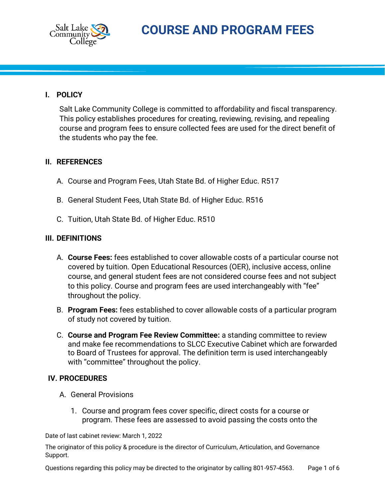

## **I. POLICY**

Salt Lake Community College is committed to affordability and fiscal transparency. This policy establishes procedures for creating, reviewing, revising, and repealing course and program fees to ensure collected fees are used for the direct benefit of the students who pay the fee.

## **II. REFERENCES**

- A. Course and Program Fees, Utah State Bd. of Higher Educ. R517
- B. General Student Fees, Utah State Bd. of Higher Educ. R516
- C. Tuition, Utah State Bd. of Higher Educ. R510

## **III. DEFINITIONS**

- A. **Course Fees:** fees established to cover allowable costs of a particular course not covered by tuition. Open Educational Resources (OER), inclusive access, online course, and general student fees are not considered course fees and not subject to this policy. Course and program fees are used interchangeably with "fee" throughout the policy.
- B. **Program Fees:** fees established to cover allowable costs of a particular program of study not covered by tuition.
- C. **Course and Program Fee Review Committee:** a standing committee to review and make fee recommendations to SLCC Executive Cabinet which are forwarded to Board of Trustees for approval. The definition term is used interchangeably with "committee" throughout the policy.

## **IV. PROCEDURES**

- A. General Provisions
	- 1. Course and program fees cover specific, direct costs for a course or program. These fees are assessed to avoid passing the costs onto the

Date of last cabinet review: March 1, 2022

The originator of this policy & procedure is the director of Curriculum, Articulation, and Governance Support.

Questions regarding this policy may be directed to the originator by calling 801-957-4563. Page 1 of 6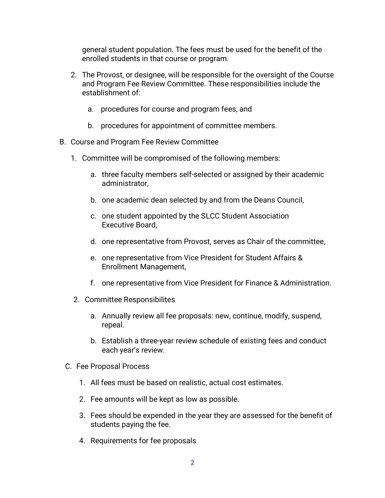general student population. The fees must be used for the benefit of the enrolled students in that course or program.

- 2. The Provost, or designee, will be responsible for the oversight of the Course and Program Fee Review Committee. These responsibilities include the establishment of:
	- a. procedures for course and program fees, and
	- b. procedures for appointment of committee members.
- B. Course and Program Fee Review Committee
	- 1. Committee will be compromised of the following members:
		- a. three faculty members self-selected or assigned by their academic administrator,
		- b. one academic dean selected by and from the Deans Council,
		- c. one student appointed by the SLCC Student Association Executive Board,
		- d. one representative from Provost, serves as Chair of the committee,
		- e. one representative from Vice President for Student Affairs & Enrollment Management,
		- f. one representative from Vice President for Finance & Administration.
	- 2. Committee Responsibilites
		- a. Annually review all fee proposals: new, continue, modify, suspend, repeal.
		- b. Establish a three-year review schedule of existing fees and conduct each year's review.
	- C. Fee Proposal Process
		- 1. All fees must be based on realistic, actual cost estimates.
		- 2. Fee amounts will be kept as low as possible.
		- 3. Fees should be expended in the year they are assessed for the benefit of students paying the fee.
		- 4. Requirements for fee proposals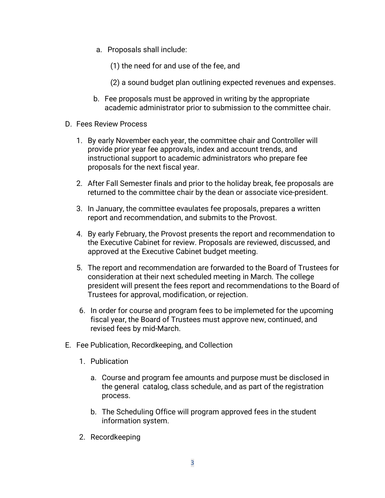- a. Proposals shall include:
	- (1) the need for and use of the fee, and
	- (2) a sound budget plan outlining expected revenues and expenses.
- b. Fee proposals must be approved in writing by the appropriate academic administrator prior to submission to the committee chair.
- D. Fees Review Process
	- 1. By early November each year, the committee chair and Controller will provide prior year fee approvals, index and account trends, and instructional support to academic administrators who prepare fee proposals for the next fiscal year.
	- 2. After Fall Semester finals and prior to the holiday break, fee proposals are returned to the committee chair by the dean or associate vice-president.
	- 3. In January, the committee evaulates fee proposals, prepares a written report and recommendation, and submits to the Provost.
	- 4. By early February, the Provost presents the report and recommendation to the Executive Cabinet for review. Proposals are reviewed, discussed, and approved at the Executive Cabinet budget meeting.
	- 5. The report and recommendation are forwarded to the Board of Trustees for consideration at their next scheduled meeting in March. The college president will present the fees report and recommendations to the Board of Trustees for approval, modification, or rejection.
	- 6. In order for course and program fees to be implemeted for the upcoming fiscal year, the Board of Trustees must approve new, continued, and revised fees by mid-March.
- E. Fee Publication, Recordkeeping, and Collection
	- 1. Publication
		- a. Course and program fee amounts and purpose must be disclosed in the general catalog, class schedule, and as part of the registration process.
		- b. The Scheduling Office will program approved fees in the student information system.
	- 2. Recordkeeping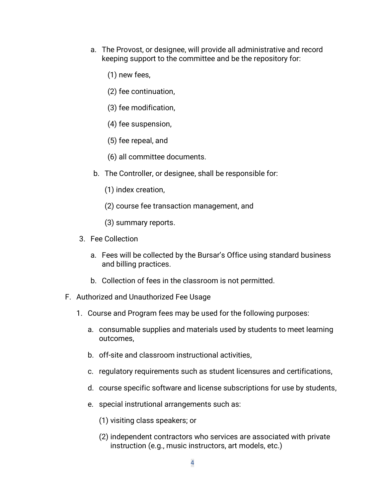- a. The Provost, or designee, will provide all administrative and record keeping support to the committee and be the repository for:
	- (1) new fees,
	- (2) fee continuation,
	- (3) fee modification,
	- (4) fee suspension,
	- (5) fee repeal, and
	- (6) all committee documents.
- b. The Controller, or designee, shall be responsible for:
	- (1) index creation,
	- (2) course fee transaction management, and
	- (3) summary reports.
- 3. Fee Collection
	- a. Fees will be collected by the Bursar's Office using standard business and billing practices.
	- b. Collection of fees in the classroom is not permitted.
- F. Authorized and Unauthorized Fee Usage
	- 1. Course and Program fees may be used for the following purposes:
		- a. consumable supplies and materials used by students to meet learning outcomes,
		- b. off-site and classroom instructional activities,
		- c. regulatory requirements such as student licensures and certifications,
		- d. course specific software and license subscriptions for use by students,
		- e. special instrutional arrangements such as:
			- (1) visiting class speakers; or
			- (2) independent contractors who services are associated with private instruction (e.g., music instructors, art models, etc.)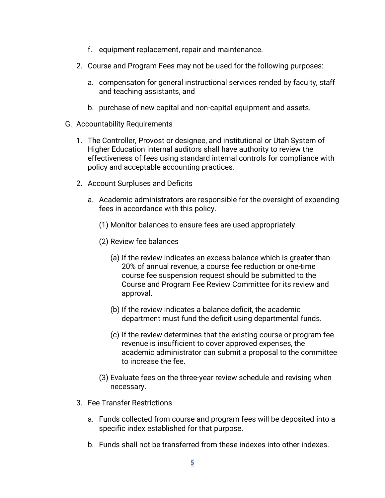- f. equipment replacement, repair and maintenance.
- 2. Course and Program Fees may not be used for the following purposes:
	- a. compensaton for general instructional services rended by faculty, staff and teaching assistants, and
	- b. purchase of new capital and non-capital equipment and assets.
- G. Accountability Requirements
	- 1. The Controller, Provost or designee, and institutional or Utah System of Higher Education internal auditors shall have authority to review the effectiveness of fees using standard internal controls for compliance with policy and acceptable accounting practices.
	- 2. Account Surpluses and Deficits
		- a. Academic administrators are responsible for the oversight of expending fees in accordance with this policy.
			- (1) Monitor balances to ensure fees are used appropriately.
			- (2) Review fee balances
				- (a) If the review indicates an excess balance which is greater than 20% of annual revenue, a course fee reduction or one-time course fee suspension request should be submitted to the Course and Program Fee Review Committee for its review and approval.
				- (b) If the review indicates a balance deficit, the academic department must fund the deficit using departmental funds.
				- (c) If the review determines that the existing course or program fee revenue is insufficient to cover approved expenses, the academic administrator can submit a proposal to the committee to increase the fee.
			- (3) Evaluate fees on the three-year review schedule and revising when necessary.
	- 3. Fee Transfer Restrictions
		- a. Funds collected from course and program fees will be deposited into a specific index established for that purpose.
		- b. Funds shall not be transferred from these indexes into other indexes.